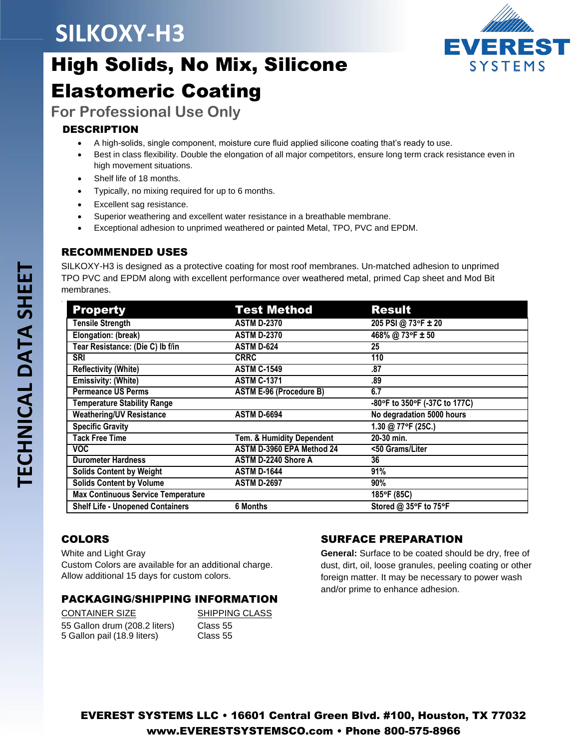## **SILKOXY-H3**



## High Solids, No Mix, Silicone Elastomeric Coating

**For Professional Use Only**

## DESCRIPTION

- A high-solids, single component, moisture cure fluid applied silicone coating that's ready to use.
- Best in class flexibility. Double the elongation of all major competitors, ensure long term crack resistance even in high movement situations.
- Shelf life of 18 months.
- Typically, no mixing required for up to 6 months.
- Excellent sag resistance.
- Superior weathering and excellent water resistance in a breathable membrane.
- Exceptional adhesion to unprimed weathered or painted Metal, TPO, PVC and EPDM.

### RECOMMENDED USES

SILKOXY-H3 is designed as a protective coating for most roof membranes. Un-matched adhesion to unprimed TPO PVC and EPDM along with excellent performance over weathered metal, primed Cap sheet and Mod Bit membranes.

| <b>Property</b>                           | <b>Test Method</b>             | <b>Result</b>                 |
|-------------------------------------------|--------------------------------|-------------------------------|
| <b>Tensile Strength</b>                   | <b>ASTM D-2370</b>             | 205 PSI @ 73°F ± 20           |
| Elongation: (break)                       | <b>ASTM D-2370</b>             | 468% @ 73°F ± 50              |
| Tear Resistance: (Die C) Ib f/in          | <b>ASTM D-624</b>              | 25                            |
| <b>SRI</b>                                | <b>CRRC</b>                    | 110                           |
| <b>Reflectivity (White)</b>               | <b>ASTM C-1549</b>             | .87                           |
| <b>Emissivity: (White)</b>                | <b>ASTM C-1371</b>             | .89                           |
| <b>Permeance US Perms</b>                 | <b>ASTM E-96 (Procedure B)</b> | 6.7                           |
| <b>Temperature Stability Range</b>        |                                | -80°F to 350°F (-37C to 177C) |
| <b>Weathering/UV Resistance</b>           | <b>ASTM D-6694</b>             | No degradation 5000 hours     |
| <b>Specific Gravity</b>                   |                                | 1.30 @ 77°F (25C.)            |
| <b>Tack Free Time</b>                     | Tem. & Humidity Dependent      | 20-30 min.                    |
| <b>VOC</b>                                | ASTM D-3960 EPA Method 24      | <50 Grams/Liter               |
| <b>Durometer Hardness</b>                 | ASTM D-2240 Shore A            | 36                            |
| <b>Solids Content by Weight</b>           | <b>ASTM D-1644</b>             | 91%                           |
| <b>Solids Content by Volume</b>           | <b>ASTM D-2697</b>             | 90%                           |
| <b>Max Continuous Service Temperature</b> |                                | 185°F (85C)                   |
| <b>Shelf Life - Unopened Containers</b>   | <b>6 Months</b>                | Stored @ 35°F to 75°F         |

## COLORS

White and Light Gray

Custom Colors are available for an additional charge. Allow additional 15 days for custom colors.

## PACKAGING/SHIPPING INFORMATION

CONTAINER SIZE SHIPPING CLASS 55 Gallon drum (208.2 liters) Class 55 5 Gallon pail (18.9 liters) Class 55

## SURFACE PREPARATION

**General:** Surface to be coated should be dry, free of dust, dirt, oil, loose granules, peeling coating or other foreign matter. It may be necessary to power wash and/or prime to enhance adhesion.

.

EVEREST SYSTEMS LLC • 16601 Central Green Blvd. #100, Houston, TX 77032 [www.EVERESTSYSTEMSCO.com](http://www.everestsystemsco.com/) • Phone 800-575-8966